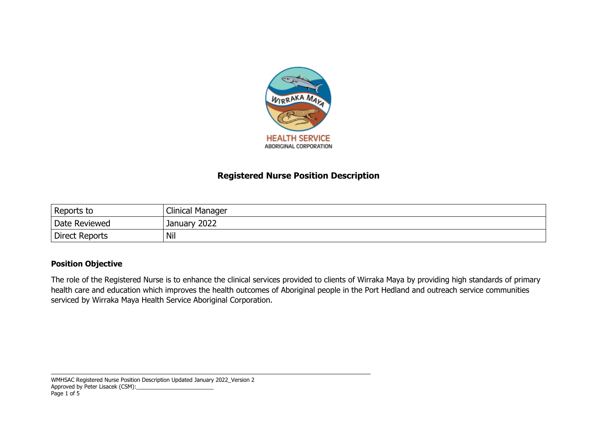

# **Registered Nurse Position Description**

| Reports to            | <b>Clinical Manager</b> |
|-----------------------|-------------------------|
| Date Reviewed         | 2022<br>January         |
| <b>Direct Reports</b> | Nil                     |

#### **Position Objective**

The role of the Registered Nurse is to enhance the clinical services provided to clients of Wirraka Maya by providing high standards of primary health care and education which improves the health outcomes of Aboriginal people in the Port Hedland and outreach service communities serviced by Wirraka Maya Health Service Aboriginal Corporation.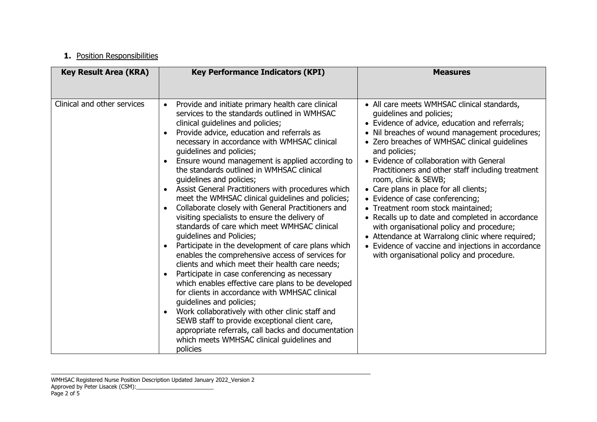## **1.** Position Responsibilities

| <b>Key Result Area (KRA)</b> | <b>Key Performance Indicators (KPI)</b>                                                                                                                                                                                                                                                                                                                                                                                                                                                                                                                                                                                                                                                                                                                                                                                                                                                                                                                                                                                                                                                                                                                                                                                                                                           | <b>Measures</b>                                                                                                                                                                                                                                                                                                                                                                                                                                                                                                                                                                                                                                                                                                                                    |
|------------------------------|-----------------------------------------------------------------------------------------------------------------------------------------------------------------------------------------------------------------------------------------------------------------------------------------------------------------------------------------------------------------------------------------------------------------------------------------------------------------------------------------------------------------------------------------------------------------------------------------------------------------------------------------------------------------------------------------------------------------------------------------------------------------------------------------------------------------------------------------------------------------------------------------------------------------------------------------------------------------------------------------------------------------------------------------------------------------------------------------------------------------------------------------------------------------------------------------------------------------------------------------------------------------------------------|----------------------------------------------------------------------------------------------------------------------------------------------------------------------------------------------------------------------------------------------------------------------------------------------------------------------------------------------------------------------------------------------------------------------------------------------------------------------------------------------------------------------------------------------------------------------------------------------------------------------------------------------------------------------------------------------------------------------------------------------------|
| Clinical and other services  | Provide and initiate primary health care clinical<br>services to the standards outlined in WMHSAC<br>clinical guidelines and policies;<br>Provide advice, education and referrals as<br>necessary in accordance with WMHSAC clinical<br>guidelines and policies;<br>Ensure wound management is applied according to<br>the standards outlined in WMHSAC clinical<br>guidelines and policies;<br>Assist General Practitioners with procedures which<br>meet the WMHSAC clinical guidelines and policies;<br>Collaborate closely with General Practitioners and<br>$\bullet$<br>visiting specialists to ensure the delivery of<br>standards of care which meet WMHSAC clinical<br>guidelines and Policies;<br>Participate in the development of care plans which<br>enables the comprehensive access of services for<br>clients and which meet their health care needs;<br>Participate in case conferencing as necessary<br>which enables effective care plans to be developed<br>for clients in accordance with WMHSAC clinical<br>guidelines and policies;<br>Work collaboratively with other clinic staff and<br>SEWB staff to provide exceptional client care,<br>appropriate referrals, call backs and documentation<br>which meets WMHSAC clinical guidelines and<br>policies | • All care meets WMHSAC clinical standards,<br>guidelines and policies;<br>• Evidence of advice, education and referrals;<br>• Nil breaches of wound management procedures;<br>• Zero breaches of WMHSAC clinical guidelines<br>and policies;<br>• Evidence of collaboration with General<br>Practitioners and other staff including treatment<br>room, clinic & SEWB;<br>• Care plans in place for all clients;<br>• Evidence of case conferencing;<br>• Treatment room stock maintained;<br>• Recalls up to date and completed in accordance<br>with organisational policy and procedure;<br>• Attendance at Warralong clinic where required;<br>• Evidence of vaccine and injections in accordance<br>with organisational policy and procedure. |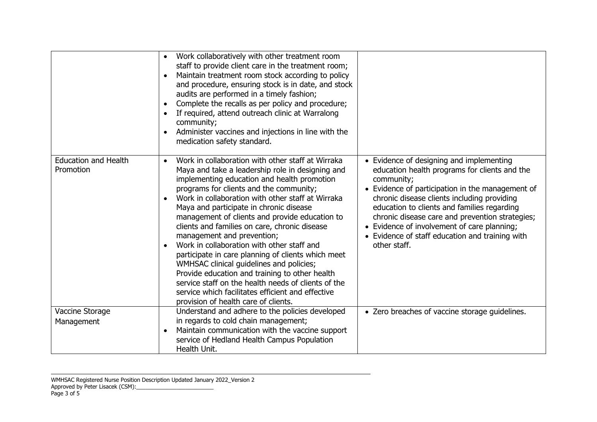|                                          | Work collaboratively with other treatment room<br>$\bullet$<br>staff to provide client care in the treatment room;<br>Maintain treatment room stock according to policy<br>$\bullet$<br>and procedure, ensuring stock is in date, and stock<br>audits are performed in a timely fashion;<br>Complete the recalls as per policy and procedure;<br>$\bullet$<br>If required, attend outreach clinic at Warralong<br>$\bullet$<br>community;<br>Administer vaccines and injections in line with the<br>$\bullet$<br>medication safety standard.                                                                                                                                                                                                                                                                     |                                                                                                                                                                                                                                                                                                                                                                                                                                |
|------------------------------------------|------------------------------------------------------------------------------------------------------------------------------------------------------------------------------------------------------------------------------------------------------------------------------------------------------------------------------------------------------------------------------------------------------------------------------------------------------------------------------------------------------------------------------------------------------------------------------------------------------------------------------------------------------------------------------------------------------------------------------------------------------------------------------------------------------------------|--------------------------------------------------------------------------------------------------------------------------------------------------------------------------------------------------------------------------------------------------------------------------------------------------------------------------------------------------------------------------------------------------------------------------------|
| <b>Education and Health</b><br>Promotion | Work in collaboration with other staff at Wirraka<br>$\bullet$<br>Maya and take a leadership role in designing and<br>implementing education and health promotion<br>programs for clients and the community;<br>Work in collaboration with other staff at Wirraka<br>$\bullet$<br>Maya and participate in chronic disease<br>management of clients and provide education to<br>clients and families on care, chronic disease<br>management and prevention;<br>Work in collaboration with other staff and<br>participate in care planning of clients which meet<br>WMHSAC clinical guidelines and policies;<br>Provide education and training to other health<br>service staff on the health needs of clients of the<br>service which facilitates efficient and effective<br>provision of health care of clients. | • Evidence of designing and implementing<br>education health programs for clients and the<br>community;<br>• Evidence of participation in the management of<br>chronic disease clients including providing<br>education to clients and families regarding<br>chronic disease care and prevention strategies;<br>• Evidence of involvement of care planning;<br>• Evidence of staff education and training with<br>other staff. |
| Vaccine Storage<br>Management            | Understand and adhere to the policies developed<br>in regards to cold chain management;<br>Maintain communication with the vaccine support<br>service of Hedland Health Campus Population<br>Health Unit.                                                                                                                                                                                                                                                                                                                                                                                                                                                                                                                                                                                                        | • Zero breaches of vaccine storage guidelines.                                                                                                                                                                                                                                                                                                                                                                                 |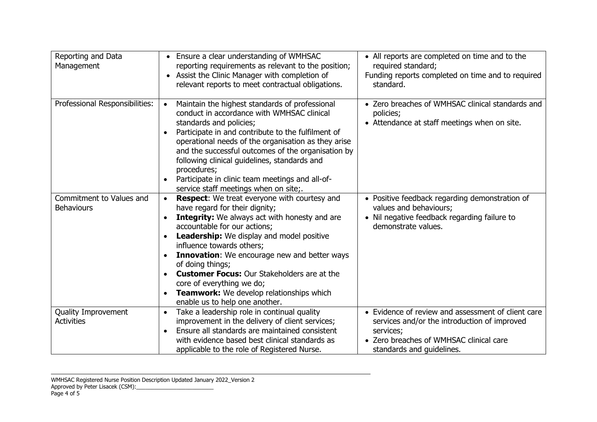| Reporting and Data<br>Management              | Ensure a clear understanding of WMHSAC<br>reporting requirements as relevant to the position;<br>Assist the Clinic Manager with completion of<br>relevant reports to meet contractual obligations.                                                                                                                                                                                                                                                                                                                                                                   | • All reports are completed on time and to the<br>required standard;<br>Funding reports completed on time and to required<br>standard.                                                  |  |
|-----------------------------------------------|----------------------------------------------------------------------------------------------------------------------------------------------------------------------------------------------------------------------------------------------------------------------------------------------------------------------------------------------------------------------------------------------------------------------------------------------------------------------------------------------------------------------------------------------------------------------|-----------------------------------------------------------------------------------------------------------------------------------------------------------------------------------------|--|
| Professional Responsibilities:                | Maintain the highest standards of professional<br>$\bullet$<br>conduct in accordance with WMHSAC clinical<br>standards and policies;<br>Participate in and contribute to the fulfilment of<br>operational needs of the organisation as they arise<br>and the successful outcomes of the organisation by<br>following clinical guidelines, standards and<br>procedures;<br>Participate in clinic team meetings and all-of-<br>service staff meetings when on site;.                                                                                                   | • Zero breaches of WMHSAC clinical standards and<br>policies;<br>• Attendance at staff meetings when on site.                                                                           |  |
| Commitment to Values and<br><b>Behaviours</b> | <b>Respect:</b> We treat everyone with courtesy and<br>$\bullet$<br>have regard for their dignity;<br><b>Integrity:</b> We always act with honesty and are<br>$\bullet$<br>accountable for our actions;<br>Leadership: We display and model positive<br>$\bullet$<br>influence towards others;<br><b>Innovation:</b> We encourage new and better ways<br>$\bullet$<br>of doing things;<br><b>Customer Focus: Our Stakeholders are at the</b><br>core of everything we do;<br>Teamwork: We develop relationships which<br>$\bullet$<br>enable us to help one another. | • Positive feedback regarding demonstration of<br>values and behaviours;<br>• Nil negative feedback regarding failure to<br>demonstrate values.                                         |  |
| Quality Improvement<br><b>Activities</b>      | Take a leadership role in continual quality<br>$\bullet$<br>improvement in the delivery of client services;<br>Ensure all standards are maintained consistent<br>$\bullet$<br>with evidence based best clinical standards as<br>applicable to the role of Registered Nurse.                                                                                                                                                                                                                                                                                          | • Evidence of review and assessment of client care<br>services and/or the introduction of improved<br>services;<br>• Zero breaches of WMHSAC clinical care<br>standards and guidelines. |  |